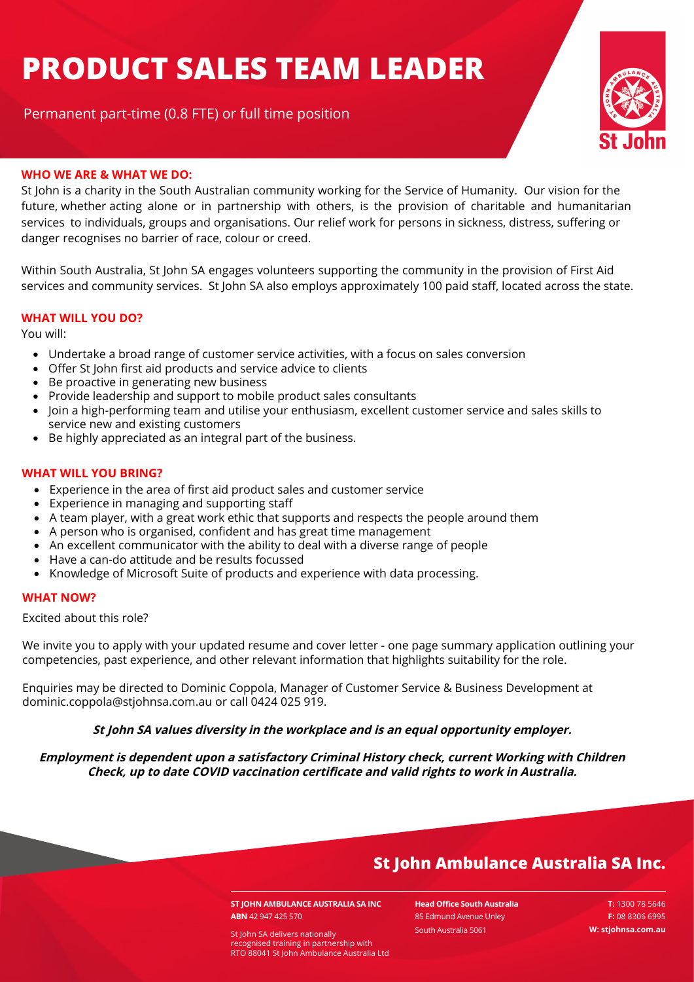# **PRODUCT SALES TEAM LEADER**

Permanent part-time (0.8 FTE) or full time position



#### **WHO WE ARE & WHAT WE DO:**

St John is a charity in the South Australian community working for the Service of Humanity. Our vision for the future, whether acting alone or in partnership with others, is the provision of charitable and humanitarian services to individuals, groups and organisations. Our relief work for persons in sickness, distress, suffering or danger recognises no barrier of race, colour or creed.

Within South Australia, St John SA engages volunteers supporting the community in the provision of First Aid services and community services. St John SA also employs approximately 100 paid staff, located across the state.

#### **WHAT WILL YOU DO?**

You will:

- Undertake a broad range of customer service activities, with a focus on sales conversion
- Offer St John first aid products and service advice to clients
- Be proactive in generating new business
- Provide leadership and support to mobile product sales consultants
- Join a high-performing team and utilise your enthusiasm, excellent customer service and sales skills to service new and existing customers
- Be highly appreciated as an integral part of the business.

#### **WHAT WILL YOU BRING?**

- Experience in the area of first aid product sales and customer service
- Experience in managing and supporting staff
- A team player, with a great work ethic that supports and respects the people around them
- A person who is organised, confident and has great time management
- An excellent communicator with the ability to deal with a diverse range of people
- Have a can-do attitude and be results focussed
- Knowledge of Microsoft Suite of products and experience with data processing.

#### **WHAT NOW?**

Excited about this role?

We invite you to apply with your updated resume and cover letter - one page summary application outlining your competencies, past experience, and other relevant information that highlights suitability for the role.

Enquiries may be directed to Dominic Coppola, Manager of Customer Service & Business Development at dominic.coppola@stjohnsa.com.au or call 0424 025 919.

#### **St John SA values diversity in the workplace and is an equal opportunity employer.**

**Employment is dependent upon a satisfactory Criminal History check, current Working with Children Check, up to date COVID vaccination certificate and valid rights to work in Australia.**

## **St John Ambulance Australia SA Inc.**

**ST JOHN AMBULANCE AUSTRALIA SA INC ABN** 42 947 425 570

**Head Office South Australia** 85 Edmund Avenue Unley South Australia 5061

 **T:** 1300 78 5646  **F:** 08 8306 6995

**W: stjohnsa.com.au** St John SA delivers nationally recognised training in partnership with RTO 88041 St John Ambulance Australia Ltd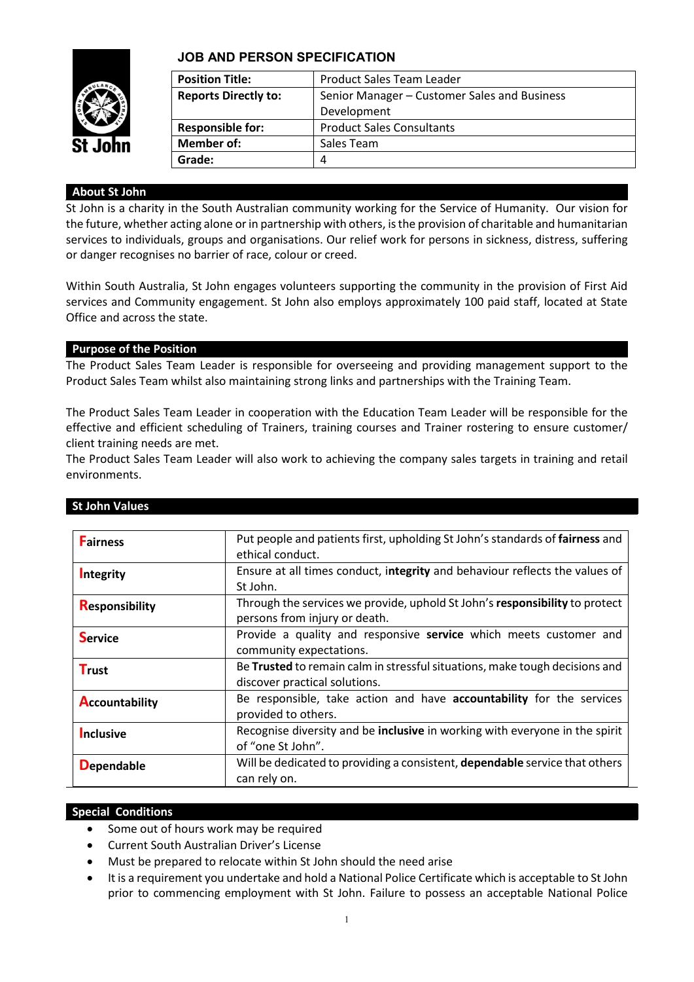

#### **JOB AND PERSON SPECIFICATION**

| <b>Position Title:</b>      | Product Sales Team Leader                    |
|-----------------------------|----------------------------------------------|
| <b>Reports Directly to:</b> | Senior Manager – Customer Sales and Business |
|                             | Development                                  |
| <b>Responsible for:</b>     | <b>Product Sales Consultants</b>             |
| Member of:                  | Sales Team                                   |
| Grade:                      | 4                                            |
|                             |                                              |

#### **About St John**

St John is a charity in the South Australian community working for the Service of Humanity. Our vision for the future, whether acting alone or in partnership with others, is the provision of charitable and humanitarian services to individuals, groups and organisations. Our relief work for persons in sickness, distress, suffering or danger recognises no barrier of race, colour or creed.

Within South Australia, St John engages volunteers supporting the community in the provision of First Aid services and Community engagement. St John also employs approximately 100 paid staff, located at State Office and across the state.

#### **Purpose of the Position**

The Product Sales Team Leader is responsible for overseeing and providing management support to the Product Sales Team whilst also maintaining strong links and partnerships with the Training Team.

The Product Sales Team Leader in cooperation with the Education Team Leader will be responsible for the effective and efficient scheduling of Trainers, training courses and Trainer rostering to ensure customer/ client training needs are met.

The Product Sales Team Leader will also work to achieving the company sales targets in training and retail environments.

| <b>Fairness</b>       | Put people and patients first, upholding St John's standards of fairness and<br>ethical conduct.             |
|-----------------------|--------------------------------------------------------------------------------------------------------------|
| Integrity             | Ensure at all times conduct, integrity and behaviour reflects the values of<br>St John.                      |
| <b>Responsibility</b> | Through the services we provide, uphold St John's responsibility to protect<br>persons from injury or death. |
| <b>Service</b>        | Provide a quality and responsive service which meets customer and<br>community expectations.                 |
| <b>Trust</b>          | Be Trusted to remain calm in stressful situations, make tough decisions and<br>discover practical solutions. |
| <b>Accountability</b> | Be responsible, take action and have accountability for the services<br>provided to others.                  |
| Inclusive             | Recognise diversity and be inclusive in working with everyone in the spirit<br>of "one St John".             |
| <b>Dependable</b>     | Will be dedicated to providing a consistent, dependable service that others<br>can rely on.                  |

#### **St John Values**

#### **Special Conditions**

- Some out of hours work may be required
- Current South Australian Driver's License
- Must be prepared to relocate within St John should the need arise
- It is a requirement you undertake and hold a National Police Certificate which is acceptable to St John prior to commencing employment with St John. Failure to possess an acceptable National Police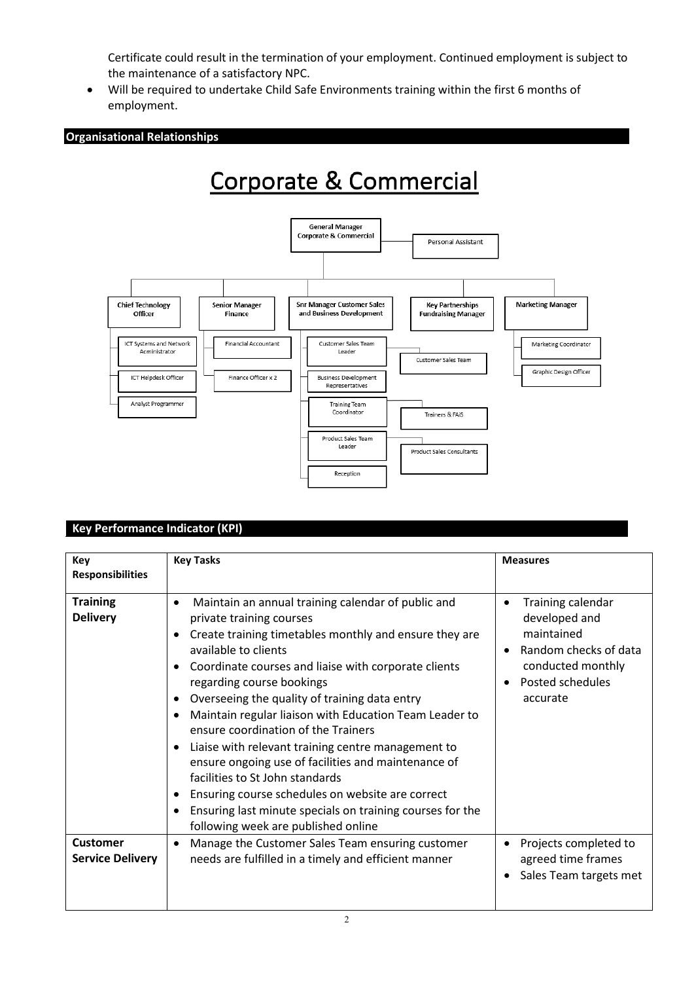Certificate could result in the termination of your employment. Continued employment is subject to the maintenance of a satisfactory NPC.

• Will be required to undertake Child Safe Environments training within the first 6 months of employment.

**Organisational Relationships**

## Corporate & Commercial



#### **Key Performance Indicator (KPI)**

| Key<br><b>Responsibilities</b>             | <b>Key Tasks</b>                                                                                                                                                                                                                                                                                                                                                                                                                                                                                                                                                                                                                                                                                                          | <b>Measures</b>                                                                                                                                  |
|--------------------------------------------|---------------------------------------------------------------------------------------------------------------------------------------------------------------------------------------------------------------------------------------------------------------------------------------------------------------------------------------------------------------------------------------------------------------------------------------------------------------------------------------------------------------------------------------------------------------------------------------------------------------------------------------------------------------------------------------------------------------------------|--------------------------------------------------------------------------------------------------------------------------------------------------|
| <b>Training</b><br><b>Delivery</b>         | Maintain an annual training calendar of public and<br>٠<br>private training courses<br>Create training timetables monthly and ensure they are<br>available to clients<br>Coordinate courses and liaise with corporate clients<br>regarding course bookings<br>Overseeing the quality of training data entry<br>٠<br>Maintain regular liaison with Education Team Leader to<br>ensure coordination of the Trainers<br>Liaise with relevant training centre management to<br>ensure ongoing use of facilities and maintenance of<br>facilities to St John standards<br>Ensuring course schedules on website are correct<br>Ensuring last minute specials on training courses for the<br>following week are published online | Training calendar<br>٠<br>developed and<br>maintained<br>Random checks of data<br>$\bullet$<br>conducted monthly<br>Posted schedules<br>accurate |
| <b>Customer</b><br><b>Service Delivery</b> | Manage the Customer Sales Team ensuring customer<br>٠<br>needs are fulfilled in a timely and efficient manner                                                                                                                                                                                                                                                                                                                                                                                                                                                                                                                                                                                                             | Projects completed to<br>$\bullet$<br>agreed time frames<br>Sales Team targets met<br>٠                                                          |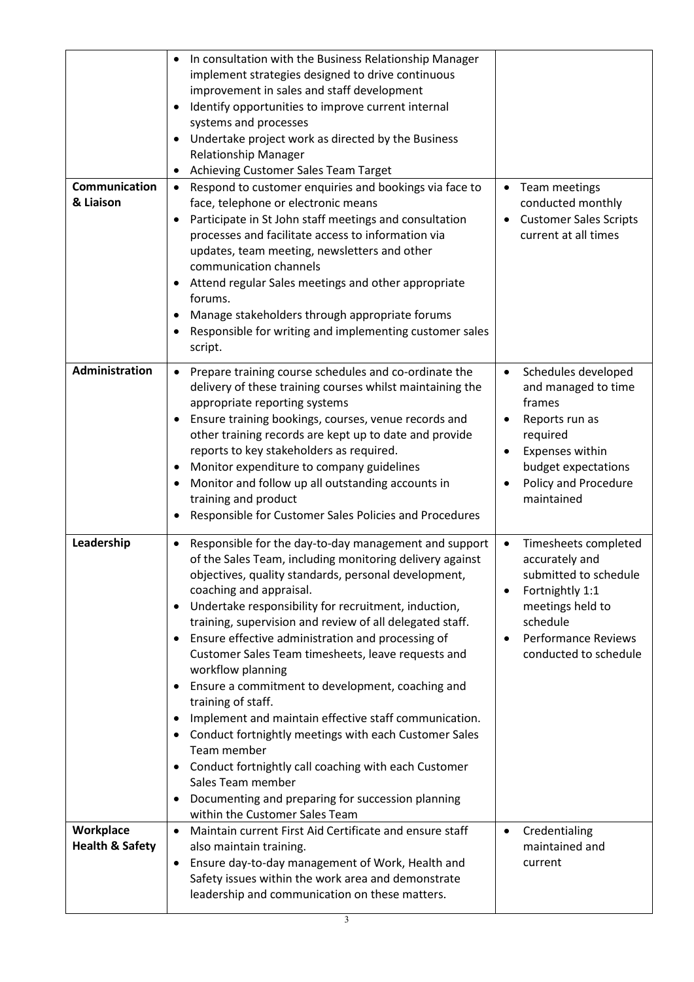| <b>Communication</b><br>& Liaison       | In consultation with the Business Relationship Manager<br>implement strategies designed to drive continuous<br>improvement in sales and staff development<br>Identify opportunities to improve current internal<br>٠<br>systems and processes<br>Undertake project work as directed by the Business<br>$\bullet$<br><b>Relationship Manager</b><br>Achieving Customer Sales Team Target<br>٠<br>Respond to customer enquiries and bookings via face to<br>$\bullet$<br>face, telephone or electronic means<br>Participate in St John staff meetings and consultation<br>$\bullet$<br>processes and facilitate access to information via<br>updates, team meeting, newsletters and other<br>communication channels<br>Attend regular Sales meetings and other appropriate<br>$\bullet$<br>forums.<br>Manage stakeholders through appropriate forums<br>٠<br>Responsible for writing and implementing customer sales<br>٠<br>script. | • Team meetings<br>conducted monthly<br><b>Customer Sales Scripts</b><br>$\bullet$<br>current at all times                                                                                               |
|-----------------------------------------|------------------------------------------------------------------------------------------------------------------------------------------------------------------------------------------------------------------------------------------------------------------------------------------------------------------------------------------------------------------------------------------------------------------------------------------------------------------------------------------------------------------------------------------------------------------------------------------------------------------------------------------------------------------------------------------------------------------------------------------------------------------------------------------------------------------------------------------------------------------------------------------------------------------------------------|----------------------------------------------------------------------------------------------------------------------------------------------------------------------------------------------------------|
| Administration                          | Prepare training course schedules and co-ordinate the<br>delivery of these training courses whilst maintaining the<br>appropriate reporting systems<br>Ensure training bookings, courses, venue records and<br>other training records are kept up to date and provide<br>reports to key stakeholders as required.<br>Monitor expenditure to company guidelines<br>$\bullet$<br>Monitor and follow up all outstanding accounts in<br>training and product<br>Responsible for Customer Sales Policies and Procedures<br>$\bullet$                                                                                                                                                                                                                                                                                                                                                                                                    | Schedules developed<br>$\bullet$<br>and managed to time<br>frames<br>Reports run as<br>٠<br>required<br>Expenses within<br>$\bullet$<br>budget expectations<br>Policy and Procedure<br>maintained        |
| Leadership                              | Responsible for the day-to-day management and support<br>$\bullet$<br>of the Sales Team, including monitoring delivery against<br>objectives, quality standards, personal development,<br>coaching and appraisal.<br>Undertake responsibility for recruitment, induction,<br>training, supervision and review of all delegated staff.<br>Ensure effective administration and processing of<br>$\bullet$<br>Customer Sales Team timesheets, leave requests and<br>workflow planning<br>Ensure a commitment to development, coaching and<br>training of staff.<br>Implement and maintain effective staff communication.<br>Conduct fortnightly meetings with each Customer Sales<br>$\bullet$<br>Team member<br>Conduct fortnightly call coaching with each Customer<br>$\bullet$<br>Sales Team member<br>Documenting and preparing for succession planning<br>within the Customer Sales Team                                        | Timesheets completed<br>$\bullet$<br>accurately and<br>submitted to schedule<br>Fortnightly 1:1<br>٠<br>meetings held to<br>schedule<br><b>Performance Reviews</b><br>$\bullet$<br>conducted to schedule |
| Workplace<br><b>Health &amp; Safety</b> | Maintain current First Aid Certificate and ensure staff<br>$\bullet$<br>also maintain training.<br>Ensure day-to-day management of Work, Health and<br>٠<br>Safety issues within the work area and demonstrate<br>leadership and communication on these matters.<br>3                                                                                                                                                                                                                                                                                                                                                                                                                                                                                                                                                                                                                                                              | Credentialing<br>$\bullet$<br>maintained and<br>current                                                                                                                                                  |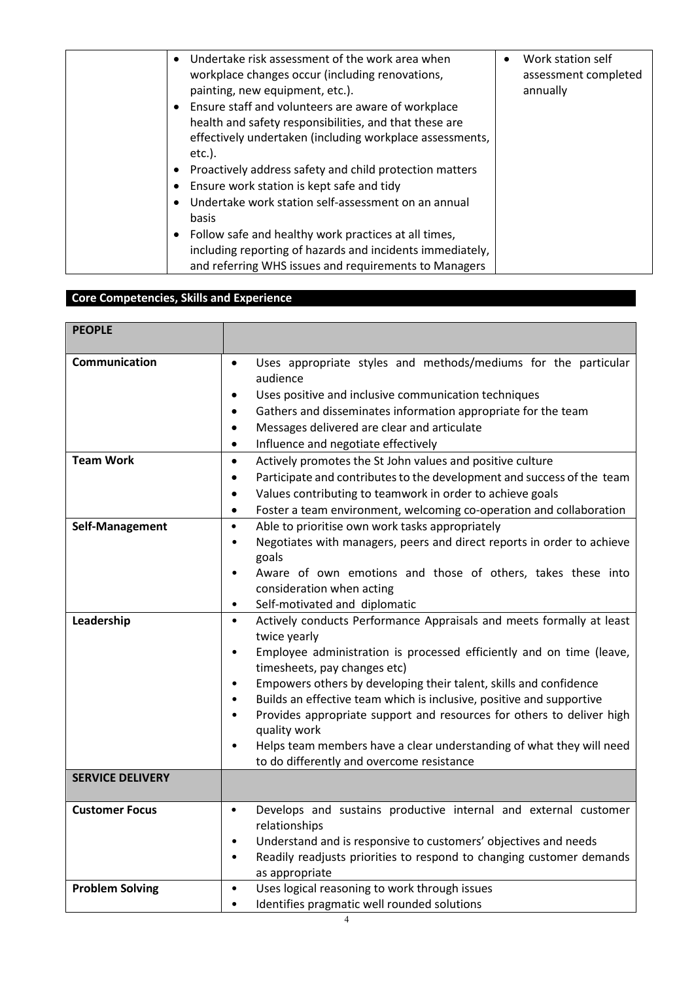| Undertake risk assessment of the work area when<br>workplace changes occur (including renovations,<br>painting, new equipment, etc.).<br>• Ensure staff and volunteers are aware of workplace<br>health and safety responsibilities, and that these are<br>effectively undertaken (including workplace assessments,<br>$etc.$ ).<br>Proactively address safety and child protection matters<br>Ensure work station is kept safe and tidy<br>Undertake work station self-assessment on an annual<br>basis<br>• Follow safe and healthy work practices at all times,<br>including reporting of hazards and incidents immediately,<br>and referring WHS issues and requirements to Managers | Work station self<br>$\bullet$<br>assessment completed<br>annually |
|------------------------------------------------------------------------------------------------------------------------------------------------------------------------------------------------------------------------------------------------------------------------------------------------------------------------------------------------------------------------------------------------------------------------------------------------------------------------------------------------------------------------------------------------------------------------------------------------------------------------------------------------------------------------------------------|--------------------------------------------------------------------|
|------------------------------------------------------------------------------------------------------------------------------------------------------------------------------------------------------------------------------------------------------------------------------------------------------------------------------------------------------------------------------------------------------------------------------------------------------------------------------------------------------------------------------------------------------------------------------------------------------------------------------------------------------------------------------------------|--------------------------------------------------------------------|

### **Core Competencies, Skills and Experience**

| <b>PEOPLE</b>           |                                                                                                                                                                                                                                                                                                                                                                                                                                                                                                                                                                                                                          |  |
|-------------------------|--------------------------------------------------------------------------------------------------------------------------------------------------------------------------------------------------------------------------------------------------------------------------------------------------------------------------------------------------------------------------------------------------------------------------------------------------------------------------------------------------------------------------------------------------------------------------------------------------------------------------|--|
| Communication           | Uses appropriate styles and methods/mediums for the particular<br>$\bullet$<br>audience<br>Uses positive and inclusive communication techniques<br>$\bullet$<br>Gathers and disseminates information appropriate for the team<br>$\bullet$<br>Messages delivered are clear and articulate<br>$\bullet$<br>Influence and negotiate effectively<br>$\bullet$                                                                                                                                                                                                                                                               |  |
| <b>Team Work</b>        | Actively promotes the St John values and positive culture<br>$\bullet$<br>Participate and contributes to the development and success of the team<br>$\bullet$<br>Values contributing to teamwork in order to achieve goals<br>$\bullet$<br>Foster a team environment, welcoming co-operation and collaboration<br>$\bullet$                                                                                                                                                                                                                                                                                              |  |
| Self-Management         | Able to prioritise own work tasks appropriately<br>$\bullet$<br>Negotiates with managers, peers and direct reports in order to achieve<br>$\bullet$<br>goals<br>Aware of own emotions and those of others, takes these into<br>consideration when acting<br>Self-motivated and diplomatic<br>$\bullet$                                                                                                                                                                                                                                                                                                                   |  |
| Leadership              | Actively conducts Performance Appraisals and meets formally at least<br>$\bullet$<br>twice yearly<br>Employee administration is processed efficiently and on time (leave,<br>$\bullet$<br>timesheets, pay changes etc)<br>Empowers others by developing their talent, skills and confidence<br>$\bullet$<br>Builds an effective team which is inclusive, positive and supportive<br>$\bullet$<br>Provides appropriate support and resources for others to deliver high<br>$\bullet$<br>quality work<br>Helps team members have a clear understanding of what they will need<br>to do differently and overcome resistance |  |
| <b>SERVICE DELIVERY</b> |                                                                                                                                                                                                                                                                                                                                                                                                                                                                                                                                                                                                                          |  |
| <b>Customer Focus</b>   | Develops and sustains productive internal and external customer<br>$\bullet$<br>relationships<br>Understand and is responsive to customers' objectives and needs<br>$\bullet$<br>Readily readjusts priorities to respond to changing customer demands<br>$\bullet$<br>as appropriate                                                                                                                                                                                                                                                                                                                                     |  |
| <b>Problem Solving</b>  | Uses logical reasoning to work through issues<br>$\bullet$<br>Identifies pragmatic well rounded solutions<br>$\bullet$                                                                                                                                                                                                                                                                                                                                                                                                                                                                                                   |  |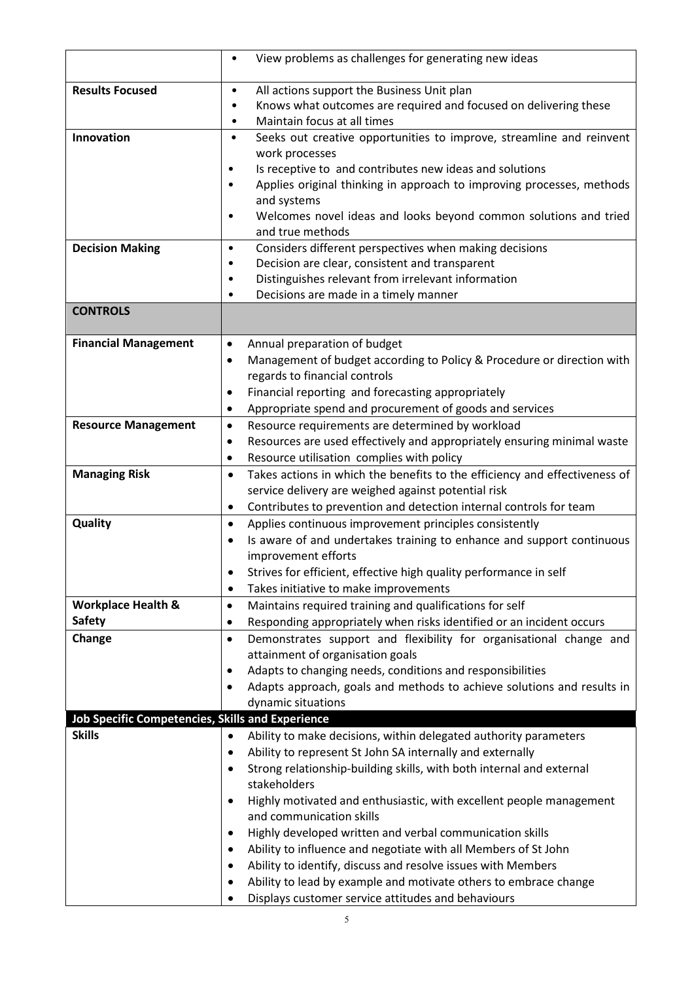|                                                         | View problems as challenges for generating new ideas<br>٠                                   |  |
|---------------------------------------------------------|---------------------------------------------------------------------------------------------|--|
| <b>Results Focused</b>                                  | All actions support the Business Unit plan<br>٠                                             |  |
|                                                         | Knows what outcomes are required and focused on delivering these                            |  |
|                                                         | Maintain focus at all times<br>$\bullet$                                                    |  |
| Innovation                                              | Seeks out creative opportunities to improve, streamline and reinvent<br>$\bullet$           |  |
|                                                         | work processes                                                                              |  |
|                                                         | Is receptive to and contributes new ideas and solutions<br>٠                                |  |
|                                                         | Applies original thinking in approach to improving processes, methods<br>٠                  |  |
|                                                         | and systems                                                                                 |  |
|                                                         | Welcomes novel ideas and looks beyond common solutions and tried<br>٠                       |  |
|                                                         | and true methods                                                                            |  |
| <b>Decision Making</b>                                  | Considers different perspectives when making decisions<br>$\bullet$                         |  |
|                                                         | Decision are clear, consistent and transparent<br>٠<br>٠                                    |  |
|                                                         | Distinguishes relevant from irrelevant information<br>Decisions are made in a timely manner |  |
| <b>CONTROLS</b>                                         |                                                                                             |  |
|                                                         |                                                                                             |  |
| <b>Financial Management</b>                             | Annual preparation of budget<br>$\bullet$                                                   |  |
|                                                         | Management of budget according to Policy & Procedure or direction with<br>$\bullet$         |  |
|                                                         | regards to financial controls                                                               |  |
|                                                         | Financial reporting and forecasting appropriately<br>$\bullet$                              |  |
|                                                         | Appropriate spend and procurement of goods and services<br>$\bullet$                        |  |
| <b>Resource Management</b>                              | Resource requirements are determined by workload<br>$\bullet$                               |  |
|                                                         | Resources are used effectively and appropriately ensuring minimal waste<br>$\bullet$        |  |
|                                                         | Resource utilisation complies with policy<br>$\bullet$                                      |  |
| <b>Managing Risk</b>                                    | Takes actions in which the benefits to the efficiency and effectiveness of<br>$\bullet$     |  |
|                                                         | service delivery are weighed against potential risk                                         |  |
|                                                         | Contributes to prevention and detection internal controls for team<br>$\bullet$             |  |
| Quality                                                 | Applies continuous improvement principles consistently<br>$\bullet$                         |  |
|                                                         | Is aware of and undertakes training to enhance and support continuous<br>$\bullet$          |  |
|                                                         | improvement efforts<br>Strives for efficient, effective high quality performance in self    |  |
|                                                         | Takes initiative to make improvements<br>٠                                                  |  |
| <b>Workplace Health &amp;</b>                           | Maintains required training and qualifications for self<br>$\bullet$                        |  |
| <b>Safety</b>                                           | Responding appropriately when risks identified or an incident occurs<br>$\bullet$           |  |
| Change                                                  | Demonstrates support and flexibility for organisational change and<br>$\bullet$             |  |
|                                                         | attainment of organisation goals                                                            |  |
|                                                         | Adapts to changing needs, conditions and responsibilities<br>$\bullet$                      |  |
|                                                         | Adapts approach, goals and methods to achieve solutions and results in<br>$\bullet$         |  |
|                                                         | dynamic situations                                                                          |  |
| <b>Job Specific Competencies, Skills and Experience</b> |                                                                                             |  |
| <b>Skills</b>                                           | Ability to make decisions, within delegated authority parameters<br>$\bullet$               |  |
|                                                         | Ability to represent St John SA internally and externally<br>$\bullet$                      |  |
|                                                         | Strong relationship-building skills, with both internal and external<br>٠                   |  |
|                                                         | stakeholders                                                                                |  |
|                                                         | Highly motivated and enthusiastic, with excellent people management<br>$\bullet$            |  |
|                                                         | and communication skills                                                                    |  |
|                                                         | Highly developed written and verbal communication skills<br>$\bullet$                       |  |
|                                                         | Ability to influence and negotiate with all Members of St John<br>$\bullet$                 |  |
|                                                         | Ability to identify, discuss and resolve issues with Members<br>$\bullet$                   |  |
|                                                         | Ability to lead by example and motivate others to embrace change                            |  |
|                                                         | Displays customer service attitudes and behaviours                                          |  |